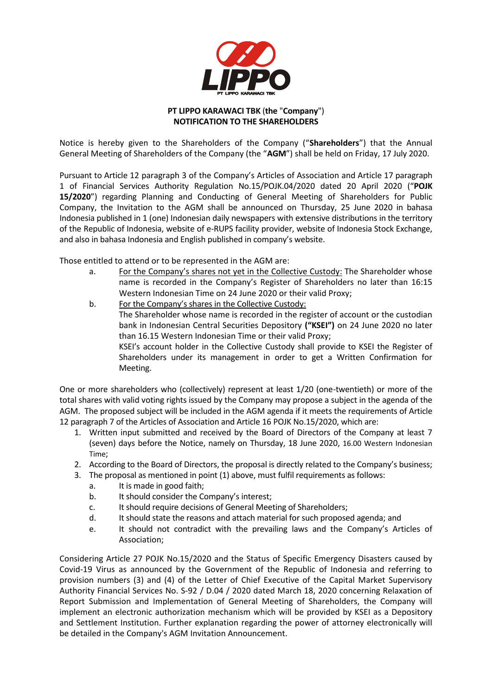

## **PT LIPPO KARAWACI TBK** (**the** "**Company**") **NOTIFICATION TO THE SHAREHOLDERS**

Notice is hereby given to the Shareholders of the Company ("**Shareholders**") that the Annual General Meeting of Shareholders of the Company (the "**AGM**") shall be held on Friday, 17 July 2020.

Pursuant to Article 12 paragraph 3 of the Company's Articles of Association and Article 17 paragraph 1 of Financial Services Authority Regulation No.15/POJK.04/2020 dated 20 April 2020 ("**POJK 15/2020**") regarding Planning and Conducting of General Meeting of Shareholders for Public Company, the Invitation to the AGM shall be announced on Thursday, 25 June 2020 in bahasa Indonesia published in 1 (one) Indonesian daily newspapers with extensive distributions in the territory of the Republic of Indonesia, website of e-RUPS facility provider, website of Indonesia Stock Exchange, and also in bahasa Indonesia and English published in company's website.

Those entitled to attend or to be represented in the AGM are:

- a. For the Company's shares not yet in the Collective Custody: The Shareholder whose name is recorded in the Company's Register of Shareholders no later than 16:15 Western Indonesian Time on 24 June 2020 or their valid Proxy;
- b. For the Company's shares in the Collective Custody: The Shareholder whose name is recorded in the register of account or the custodian bank in Indonesian Central Securities Depository **("KSEI")** on 24 June 2020 no later than 16.15 Western Indonesian Time or their valid Proxy; KSEI's account holder in the Collective Custody shall provide to KSEI the Register of Shareholders under its management in order to get a Written Confirmation for Meeting.

One or more shareholders who (collectively) represent at least 1/20 (one-twentieth) or more of the total shares with valid voting rights issued by the Company may propose a subject in the agenda of the AGM. The proposed subject will be included in the AGM agenda if it meets the requirements of Article 12 paragraph 7 of the Articles of Association and Article 16 POJK No.15/2020, which are:

- 1. Written input submitted and received by the Board of Directors of the Company at least 7 (seven) days before the Notice, namely on Thursday, 18 June 2020, 16.00 Western Indonesian Time;
- 2. According to the Board of Directors, the proposal is directly related to the Company's business;
- 3. The proposal as mentioned in point (1) above, must fulfil requirements as follows:
	- a. It is made in good faith;
	- b. It should consider the Company's interest;
	- c. It should require decisions of General Meeting of Shareholders;
	- d. It should state the reasons and attach material for such proposed agenda; and
	- e. It should not contradict with the prevailing laws and the Company's Articles of Association;

Considering Article 27 POJK No.15/2020 and the Status of Specific Emergency Disasters caused by Covid-19 Virus as announced by the Government of the Republic of Indonesia and referring to provision numbers (3) and (4) of the Letter of Chief Executive of the Capital Market Supervisory Authority Financial Services No. S-92 / D.04 / 2020 dated March 18, 2020 concerning Relaxation of Report Submission and Implementation of General Meeting of Shareholders, the Company will implement an electronic authorization mechanism which will be provided by KSEI as a Depository and Settlement Institution. Further explanation regarding the power of attorney electronically will be detailed in the Company's AGM Invitation Announcement.